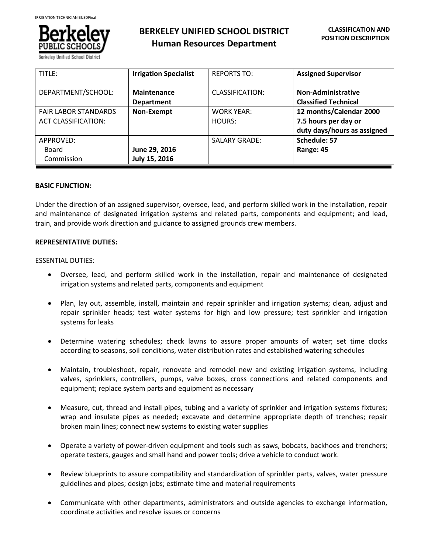

# **BERKELEY UNIFIED SCHOOL DISTRICT Human Resources Department**

| TITLE:                                                    | <b>Irrigation Specialist</b>     | <b>REPORTS TO:</b>          | <b>Assigned Supervisor</b>                                                     |
|-----------------------------------------------------------|----------------------------------|-----------------------------|--------------------------------------------------------------------------------|
| DEPARTMENT/SCHOOL:                                        | Maintenance<br><b>Department</b> | CLASSIFICATION:             | Non-Administrative<br><b>Classified Technical</b>                              |
| <b>FAIR LABOR STANDARDS</b><br><b>ACT CLASSIFICATION:</b> | Non-Exempt                       | <b>WORK YEAR:</b><br>HOURS: | 12 months/Calendar 2000<br>7.5 hours per day or<br>duty days/hours as assigned |
| APPROVED:<br>Board<br>Commission                          | June 29, 2016<br>July 15, 2016   | <b>SALARY GRADE:</b>        | Schedule: 57<br>Range: 45                                                      |

# **BASIC FUNCTION:**

Under the direction of an assigned supervisor, oversee, lead, and perform skilled work in the installation, repair and maintenance of designated irrigation systems and related parts, components and equipment; and lead, train, and provide work direction and guidance to assigned grounds crew members.

# **REPRESENTATIVE DUTIES:**

#### ESSENTIAL DUTIES:

- Oversee, lead, and perform skilled work in the installation, repair and maintenance of designated irrigation systems and related parts, components and equipment
- Plan, lay out, assemble, install, maintain and repair sprinkler and irrigation systems; clean, adjust and repair sprinkler heads; test water systems for high and low pressure; test sprinkler and irrigation systems for leaks
- Determine watering schedules; check lawns to assure proper amounts of water; set time clocks according to seasons, soil conditions, water distribution rates and established watering schedules
- Maintain, troubleshoot, repair, renovate and remodel new and existing irrigation systems, including valves, sprinklers, controllers, pumps, valve boxes, cross connections and related components and equipment; replace system parts and equipment as necessary
- Measure, cut, thread and install pipes, tubing and a variety of sprinkler and irrigation systems fixtures; wrap and insulate pipes as needed; excavate and determine appropriate depth of trenches; repair broken main lines; connect new systems to existing water supplies
- Operate a variety of power-driven equipment and tools such as saws, bobcats, backhoes and trenchers; operate testers, gauges and small hand and power tools; drive a vehicle to conduct work.
- Review blueprints to assure compatibility and standardization of sprinkler parts, valves, water pressure guidelines and pipes; design jobs; estimate time and material requirements
- Communicate with other departments, administrators and outside agencies to exchange information, coordinate activities and resolve issues or concerns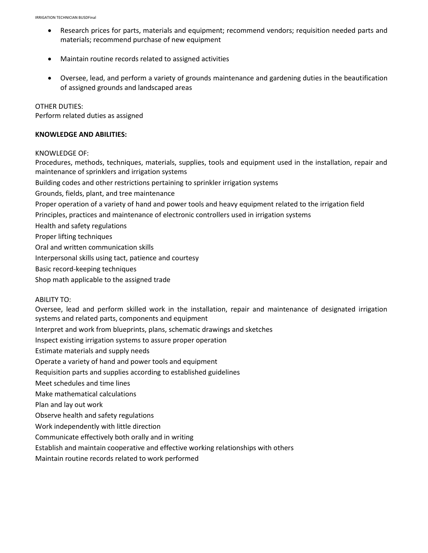- Research prices for parts, materials and equipment; recommend vendors; requisition needed parts and materials; recommend purchase of new equipment
- Maintain routine records related to assigned activities
- Oversee, lead, and perform a variety of grounds maintenance and gardening duties in the beautification of assigned grounds and landscaped areas

#### OTHER DUTIES:

Perform related duties as assigned

#### **KNOWLEDGE AND ABILITIES:**

#### KNOWLEDGE OF:

Procedures, methods, techniques, materials, supplies, tools and equipment used in the installation, repair and maintenance of sprinklers and irrigation systems

Building codes and other restrictions pertaining to sprinkler irrigation systems

Grounds, fields, plant, and tree maintenance

Proper operation of a variety of hand and power tools and heavy equipment related to the irrigation field

Principles, practices and maintenance of electronic controllers used in irrigation systems

Health and safety regulations

Proper lifting techniques

Oral and written communication skills

Interpersonal skills using tact, patience and courtesy

Basic record-keeping techniques

Shop math applicable to the assigned trade

#### ABILITY TO:

Oversee, lead and perform skilled work in the installation, repair and maintenance of designated irrigation systems and related parts, components and equipment

Interpret and work from blueprints, plans, schematic drawings and sketches

Inspect existing irrigation systems to assure proper operation

Estimate materials and supply needs

Operate a variety of hand and power tools and equipment

Requisition parts and supplies according to established guidelines

Meet schedules and time lines

Make mathematical calculations

Plan and lay out work

Observe health and safety regulations

Work independently with little direction

Communicate effectively both orally and in writing

Establish and maintain cooperative and effective working relationships with others

Maintain routine records related to work performed